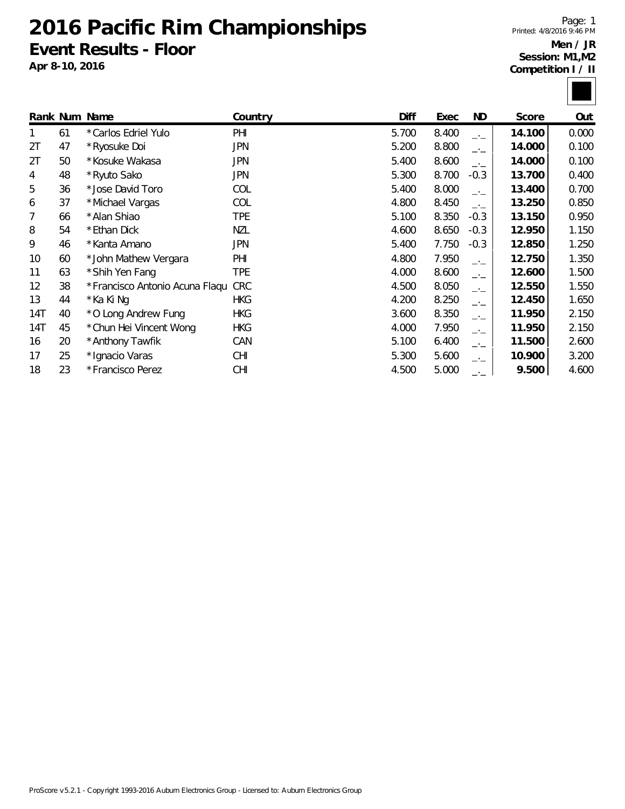### **2016 Pacific Rim Championships Event Results - Floor**

**Apr 8-10, 2016**

Page: 1 Printed: 4/8/2016 9:46 PM



|     |    | Rank Num Name                   | Country    | Diff  | Exec  | ND.    | Score  | Out   |
|-----|----|---------------------------------|------------|-------|-------|--------|--------|-------|
|     | 61 | *Carlos Edriel Yulo             | PHI        | 5.700 | 8.400 | $-1$   | 14.100 | 0.000 |
| 2T  | 47 | * Ryosuke Doi                   | <b>JPN</b> | 5.200 | 8.800 | $ -$   | 14.000 | 0.100 |
| 2T  | 50 | *Kosuke Wakasa                  | <b>JPN</b> | 5.400 | 8.600 | $-1$   | 14.000 | 0.100 |
| 4   | 48 | *Ryuto Sako                     | <b>JPN</b> | 5.300 | 8.700 | $-0.3$ | 13.700 | 0.400 |
| 5   | 36 | *Jose David Toro                | COL        | 5.400 | 8.000 | $-1$   | 13.400 | 0.700 |
| 6   | 37 | *Michael Vargas                 | COL        | 4.800 | 8.450 | $-1$   | 13.250 | 0.850 |
| 7   | 66 | *Alan Shiao                     | <b>TPE</b> | 5.100 | 8.350 | $-0.3$ | 13.150 | 0.950 |
| 8   | 54 | *Ethan Dick                     | NZL        | 4.600 | 8.650 | $-0.3$ | 12.950 | 1.150 |
| 9   | 46 | *Kanta Amano                    | JPN        | 5.400 | 7.750 | $-0.3$ | 12.850 | 1.250 |
| 10  | 60 | *John Mathew Vergara            | PHI        | 4.800 | 7.950 | $-1$   | 12.750 | 1.350 |
| 11  | 63 | *Shih Yen Fang                  | <b>TPE</b> | 4.000 | 8.600 | $-1$   | 12.600 | 1.500 |
| 12  | 38 | * Francisco Antonio Acuna Flaqu | <b>CRC</b> | 4.500 | 8.050 | $ -$   | 12.550 | 1.550 |
| 13  | 44 | *Ka Ki Ng                       | <b>HKG</b> | 4.200 | 8.250 | $-1$   | 12.450 | 1.650 |
| 14T | 40 | *O Long Andrew Fung             | <b>HKG</b> | 3.600 | 8.350 | $-1$   | 11.950 | 2.150 |
| 14T | 45 | * Chun Hei Vincent Wong         | <b>HKG</b> | 4.000 | 7.950 | $-1$   | 11.950 | 2.150 |
| 16  | 20 | *Anthony Tawfik                 | CAN        | 5.100 | 6.400 | $-1$   | 11.500 | 2.600 |
| 17  | 25 | * Ignacio Varas                 | <b>CHI</b> | 5.300 | 5.600 | —'—    | 10.900 | 3.200 |
| 18  | 23 | *Francisco Perez                | CHI        | 4.500 | 5.000 | —•—    | 9.500  | 4.600 |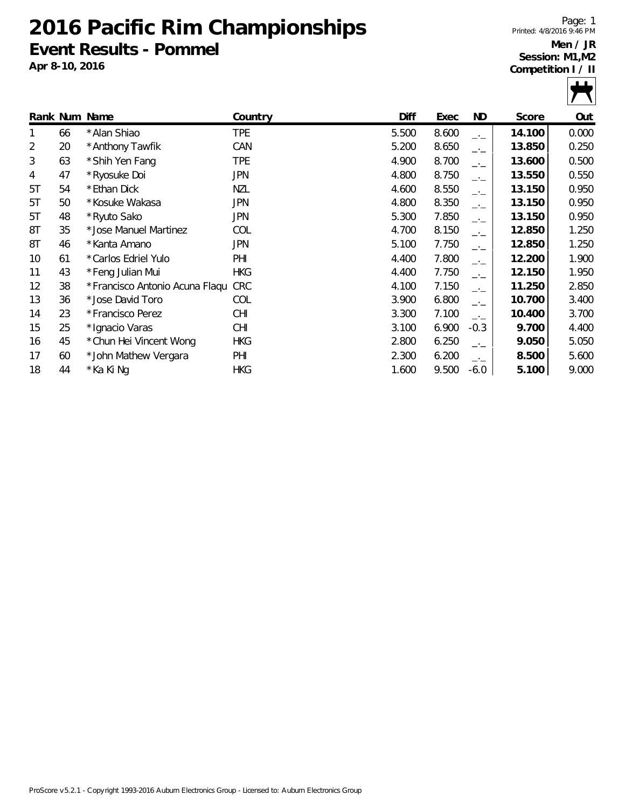### **2016 Pacific Rim Championships Event Results - Pommel**

**Apr 8-10, 2016**

Page: 1 Printed: 4/8/2016 9:46 PM



|    |                         | Country       | <b>Diff</b>                        | Exec  | ND     | Score  | Out   |
|----|-------------------------|---------------|------------------------------------|-------|--------|--------|-------|
| 66 | * Alan Shiao            | <b>TPE</b>    | 5.500                              | 8.600 | $-1$   | 14.100 | 0.000 |
| 20 | * Anthony Tawfik        | CAN           | 5.200                              | 8.650 | $-1$   | 13.850 | 0.250 |
| 63 | *Shih Yen Fang          | <b>TPE</b>    | 4.900                              | 8.700 | $-1$   | 13.600 | 0.500 |
| 47 | * Ryosuke Doi           | <b>JPN</b>    | 4.800                              | 8.750 | $-1$   | 13.550 | 0.550 |
| 54 | *Ethan Dick             | NZL           | 4.600                              | 8.550 | $-1$   | 13.150 | 0.950 |
| 50 | * Kosuke Wakasa         | JPN.          | 4.800                              | 8.350 | $-1$   | 13.150 | 0.950 |
| 48 | *Ryuto Sako             | JPN           | 5.300                              | 7.850 | $-1$   | 13.150 | 0.950 |
| 35 | *Jose Manuel Martinez   | COL           | 4.700                              | 8.150 | $ -$   | 12.850 | 1.250 |
| 46 | *Kanta Amano            | JPN           | 5.100                              | 7.750 | $-1$   | 12.850 | 1.250 |
| 61 | *Carlos Edriel Yulo     | PHI           | 4.400                              | 7.800 | $-1$   | 12.200 | 1.900 |
| 43 | *Feng Julian Mui        | <b>HKG</b>    | 4.400                              | 7.750 | $-1$   | 12.150 | 1.950 |
| 38 |                         |               | 4.100                              | 7.150 | $-1$   | 11.250 | 2.850 |
| 36 | * Jose David Toro       | COL           | 3.900                              | 6.800 | $-1$   | 10.700 | 3.400 |
| 23 | *Francisco Perez        | <b>CHI</b>    | 3.300                              | 7.100 | $-1$   | 10.400 | 3.700 |
| 25 | * Ignacio Varas         | <b>CHI</b>    | 3.100                              | 6.900 | $-0.3$ | 9.700  | 4.400 |
| 45 | * Chun Hei Vincent Wong | <b>HKG</b>    | 2.800                              | 6.250 | $-1$   | 9.050  | 5.050 |
| 60 | *John Mathew Vergara    | PHI           | 2.300                              | 6.200 | $-1$   | 8.500  | 5.600 |
| 44 | * Ka Ki Ng              | <b>HKG</b>    | 1.600                              | 9.500 | $-6.0$ | 5.100  | 9.000 |
|    |                         | Rank Num Name | *Francisco Antonio Acuna Flagu CRC |       |        |        |       |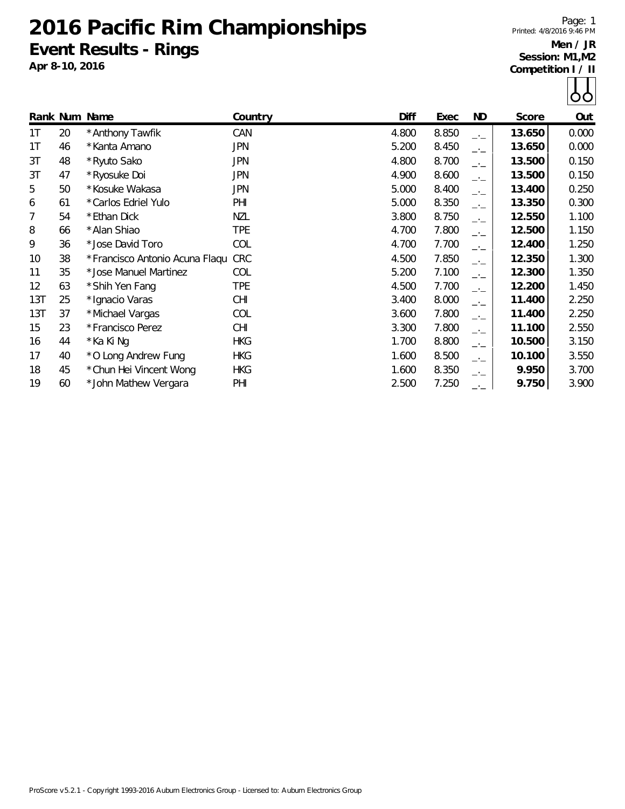# **2016 Pacific Rim Championships Event Results - Rings**

**Apr 8-10, 2016**

Page: 1 Printed: 4/8/2016 9:46 PM

|     |    | Rank Num Name                  | Country    | Diff  | Exec  | ND   | Score  | Out   |
|-----|----|--------------------------------|------------|-------|-------|------|--------|-------|
| 1T  | 20 | * Anthony Tawfik               | CAN        | 4.800 | 8.850 | $-1$ | 13.650 | 0.000 |
| 1T  | 46 | *Kanta Amano                   | <b>JPN</b> | 5.200 | 8.450 | $-1$ | 13.650 | 0.000 |
| 3T  | 48 | * Ryuto Sako                   | JPN        | 4.800 | 8.700 | $-1$ | 13.500 | 0.150 |
| 3T  | 47 | *Ryosuke Doi                   | <b>JPN</b> | 4.900 | 8.600 | $-1$ | 13.500 | 0.150 |
| 5   | 50 | * Kosuke Wakasa                | <b>JPN</b> | 5.000 | 8.400 | $-1$ | 13.400 | 0.250 |
| 6   | 61 | *Carlos Edriel Yulo            | PHI        | 5.000 | 8.350 | $-1$ | 13.350 | 0.300 |
| 7   | 54 | *Ethan Dick                    | <b>NZL</b> | 3.800 | 8.750 | $-1$ | 12.550 | 1.100 |
| 8   | 66 | * Alan Shiao                   | <b>TPE</b> | 4.700 | 7.800 | $-1$ | 12.500 | 1.150 |
| 9   | 36 | *Jose David Toro               | COL        | 4.700 | 7.700 | $-1$ | 12.400 | 1.250 |
| 10  | 38 | *Francisco Antonio Acuna Flagu | <b>CRC</b> | 4.500 | 7.850 | $-1$ | 12.350 | 1.300 |
| 11  | 35 | *Jose Manuel Martinez          | COL        | 5.200 | 7.100 | $-1$ | 12.300 | 1.350 |
| 12  | 63 | *Shih Yen Fang                 | TPE        | 4.500 | 7.700 | $-1$ | 12.200 | 1.450 |
| 13T | 25 | * Ignacio Varas                | <b>CHI</b> | 3.400 | 8.000 | $-1$ | 11.400 | 2.250 |
| 13T | 37 | *Michael Vargas                | COL        | 3.600 | 7.800 | $-1$ | 11.400 | 2.250 |
| 15  | 23 | *Francisco Perez               | <b>CHI</b> | 3.300 | 7.800 | $-1$ | 11.100 | 2.550 |
| 16  | 44 | * Ka Ki Ng                     | <b>HKG</b> | 1.700 | 8.800 | $-1$ | 10.500 | 3.150 |
| 17  | 40 | *O Long Andrew Fung            | <b>HKG</b> | 1.600 | 8.500 | $-1$ | 10.100 | 3.550 |
| 18  | 45 | * Chun Hei Vincent Wong        | <b>HKG</b> | 1.600 | 8.350 | $-1$ | 9.950  | 3.700 |
| 19  | 60 | *John Mathew Vergara           | PHI        | 2.500 | 7.250 | $-1$ | 9.750  | 3.900 |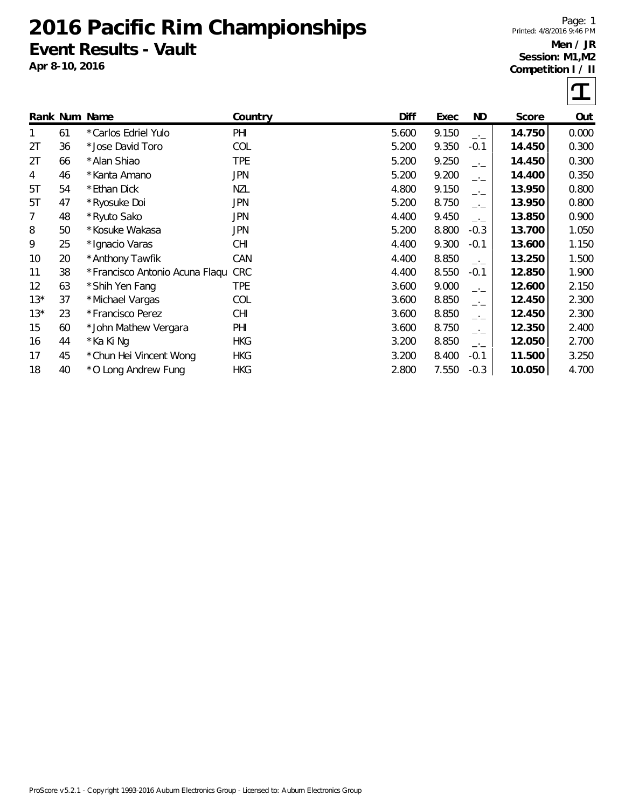### **2016 Pacific Rim Championships Event Results - Vault**

**Apr 8-10, 2016**

Page: 1 Printed: 4/8/2016 9:46 PM



|       |    | Rank Num Name                  | Country    | Diff  | Exec  | ND.       | Score  | Out   |
|-------|----|--------------------------------|------------|-------|-------|-----------|--------|-------|
|       | 61 | *Carlos Edriel Yulo            | PHI        | 5.600 | 9.150 | $-1$      | 14.750 | 0.000 |
| 2T    | 36 | * Jose David Toro              | COL        | 5.200 | 9.350 | $-0.1$    | 14.450 | 0.300 |
| 2T    | 66 | * Alan Shiao                   | <b>TPE</b> | 5.200 | 9.250 | $-1$      | 14.450 | 0.300 |
| 4     | 46 | *Kanta Amano                   | <b>JPN</b> | 5.200 | 9.200 | $-1$      | 14.400 | 0.350 |
| 5T    | 54 | *Ethan Dick                    | <b>NZL</b> | 4.800 | 9.150 | $-1$      | 13.950 | 0.800 |
| 5T    | 47 | * Ryosuke Doi                  | <b>JPN</b> | 5.200 | 8.750 | $-1$      | 13.950 | 0.800 |
| 7     | 48 | *Ryuto Sako                    | JPN        | 4.400 | 9.450 | $-1$      | 13.850 | 0.900 |
| 8     | 50 | *Kosuke Wakasa                 | JPN        | 5.200 | 8.800 | $-0.3$    | 13.700 | 1.050 |
| 9     | 25 | * Ignacio Varas                | CHI        | 4.400 | 9.300 | $-0.1$    | 13.600 | 1.150 |
| 10    | 20 | * Anthony Tawfik               | CAN        | 4.400 | 8.850 | $-1$      | 13.250 | 1.500 |
| 11    | 38 | *Francisco Antonio Acuna Flaqu | <b>CRC</b> | 4.400 | 8.550 | $-0.1$    | 12.850 | 1.900 |
| 12    | 63 | *Shih Yen Fang                 | TPE        | 3.600 | 9.000 | $-1$      | 12.600 | 2.150 |
| $13*$ | 37 | *Michael Vargas                | COL        | 3.600 | 8.850 | $-1$      | 12.450 | 2.300 |
| $13*$ | 23 | *Francisco Perez               | <b>CHI</b> | 3.600 | 8.850 | $-1$      | 12.450 | 2.300 |
| 15    | 60 | *John Mathew Vergara           | PHI        | 3.600 | 8.750 | $-$ ' $-$ | 12.350 | 2.400 |
| 16    | 44 | * Ka Ki Ng                     | <b>HKG</b> | 3.200 | 8.850 | $-1$      | 12.050 | 2.700 |
| 17    | 45 | * Chun Hei Vincent Wong        | <b>HKG</b> | 3.200 | 8.400 | $-0.1$    | 11.500 | 3.250 |
| 18    | 40 | *O Long Andrew Fung            | <b>HKG</b> | 2.800 | 7.550 | $-0.3$    | 10.050 | 4.700 |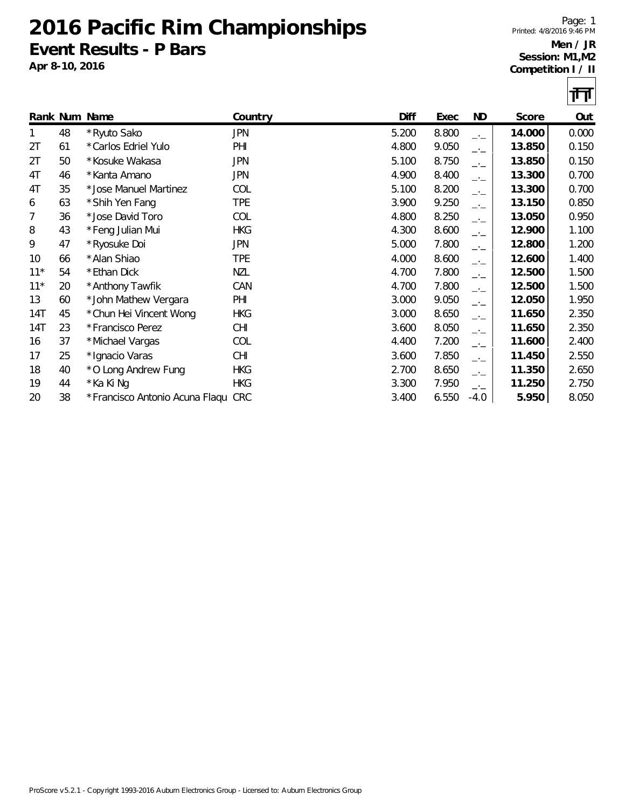### **2016 Pacific Rim Championships Event Results - P Bars**

**Apr 8-10, 2016**

Page: 1 Printed: 4/8/2016 9:46 PM



|       |    | Rank Num Name                      | Country    | Diff  | Exec  | ND.  | Score  | Out   |
|-------|----|------------------------------------|------------|-------|-------|------|--------|-------|
| 1     | 48 | *Ryuto Sako                        | <b>JPN</b> | 5.200 | 8.800 | $-1$ | 14.000 | 0.000 |
| 2T    | 61 | *Carlos Edriel Yulo                | PHI        | 4.800 | 9.050 | $-1$ | 13.850 | 0.150 |
| 2T    | 50 | *Kosuke Wakasa                     | JPN        | 5.100 | 8.750 | $-1$ | 13.850 | 0.150 |
| 4T    | 46 | *Kanta Amano                       | <b>JPN</b> | 4.900 | 8.400 | $-1$ | 13.300 | 0.700 |
| 4T    | 35 | *Jose Manuel Martinez              | COL        | 5.100 | 8.200 | $-1$ | 13.300 | 0.700 |
| 6     | 63 | *Shih Yen Fang                     | <b>TPE</b> | 3.900 | 9.250 | $-1$ | 13.150 | 0.850 |
| 7     | 36 | *Jose David Toro                   | COL        | 4.800 | 8.250 | $-1$ | 13.050 | 0.950 |
| 8     | 43 | *Feng Julian Mui                   | <b>HKG</b> | 4.300 | 8.600 | $ -$ | 12.900 | 1.100 |
| 9     | 47 | *Ryosuke Doi                       | <b>JPN</b> | 5.000 | 7.800 | $-1$ | 12.800 | 1.200 |
| 10    | 66 | * Alan Shiao                       | <b>TPE</b> | 4.000 | 8.600 | $-1$ | 12.600 | 1.400 |
| $11*$ | 54 | *Ethan Dick                        | NZL        | 4.700 | 7.800 | $-1$ | 12.500 | 1.500 |
| $11*$ | 20 | * Anthony Tawfik                   | CAN        | 4.700 | 7.800 | $-1$ | 12.500 | 1.500 |
| 13    | 60 | *John Mathew Vergara               | PHI        | 3.000 | 9.050 | $-1$ | 12.050 | 1.950 |
| 14T   | 45 | * Chun Hei Vincent Wong            | <b>HKG</b> | 3.000 | 8.650 | $-1$ | 11.650 | 2.350 |
| 14T   | 23 | *Francisco Perez                   | <b>CHI</b> | 3.600 | 8.050 | $-1$ | 11.650 | 2.350 |
| 16    | 37 | *Michael Vargas                    | COL        | 4.400 | 7.200 | $-1$ | 11.600 | 2.400 |
| 17    | 25 | * Ignacio Varas                    | <b>CHI</b> | 3.600 | 7.850 | $-1$ | 11.450 | 2.550 |
| 18    | 40 | *O Long Andrew Fung                | <b>HKG</b> | 2.700 | 8.650 | $-1$ | 11.350 | 2.650 |
| 19    | 44 | * Ka Ki Ng                         | <b>HKG</b> | 3.300 | 7.950 | $ -$ | 11.250 | 2.750 |
| 20    | 38 | *Francisco Antonio Acuna Flaqu CRC |            | 3.400 | 6.550 | -4.0 | 5.950  | 8.050 |